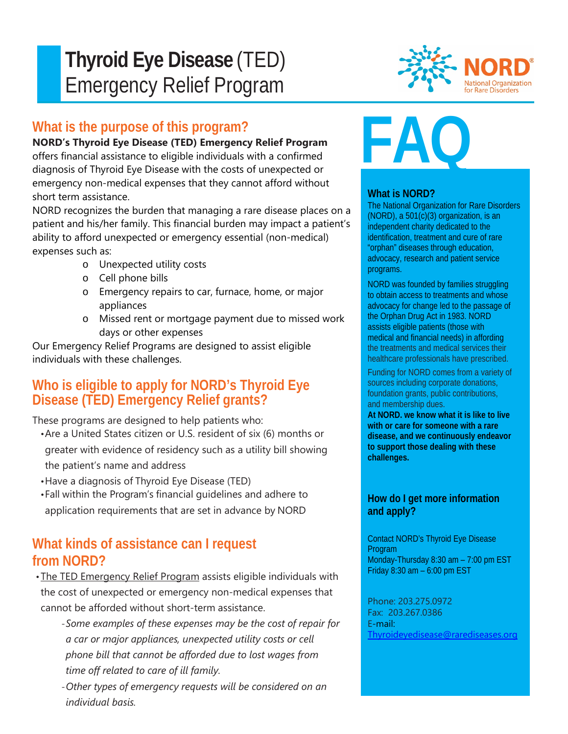# j **Thyroid Eye Disease** (TED) Emergency Relief Program

## **What is the purpose of this program?**

Ĩ

**NORD's Thyroid Eye Disease (TED) Emergency Relief Program**

offers financial assistance to eligible individuals with a confirmed diagnosis of Thyroid Eye Disease with the costs of unexpected or emergency non-medical expenses that they cannot afford without short term assistance.

NORD recognizes the burden that managing a rare disease places on a patient and his/her family. This financial burden may impact a patient's ability to afford unexpected or emergency essential (non-medical) expenses such as:

- o Unexpected utility costs
- o Cell phone bills
- o Emergency repairs to car, furnace, home, or major appliances
- o Missed rent or mortgage payment due to missed work days or other expenses

Our Emergency Relief Programs are designed to assist eligible individuals with these challenges.

#### **Who is eligible to apply for NORD's Thyroid Eye Disease (TED) Emergency Relief grants?**

These programs are designed to help patients who:

- •Are a United States citizen or U.S. resident of six (6) months or greater with evidence of residency such as a utility bill showing the patient's name and address
- •Have a diagnosis of Thyroid Eye Disease (TED)
- •Fall within the Program's financial guidelines and adhere to application requirements that are set in advance by NORD

# **What kinds of assistance can I request from NORD?**

• The TED Emergency Relief Program assists eligible individuals with the cost of unexpected or emergency non-medical expenses that cannot be afforded without short-term assistance.

- *-Some examples of these expenses may be the cost of repair for a car or major appliances, unexpected utility costs or cell phone bill that cannot be afforded due to lost wages from time off related to care of ill family.*
- *-Other types of emergency requests will be considered on an individual basis.*



# $FA$

#### **What is NORD?**

The National Organization for Rare Disorders (NORD), a 501(c)(3) organization, is an independent charity dedicated to the identification, treatment and cure of rare "orphan" diseases through education, advocacy, research and patient service programs.

NORD was founded by families struggling to obtain access to treatments and whose advocacy for change led to the passage of the Orphan Drug Act in 1983. NORD assists eligible patients (those with medical and financial needs) in affording the treatments and medical services their healthcare professionals have prescribed.

Funding for NORD comes from a variety of sources including corporate donations, foundation grants, public contributions, and membership dues.

**At NORD. we know what it is like to live with or care for someone with a rare disease, and we continuously endeavor to support those dealing with these challenges.**

#### **How do I get more information and apply?**

Contact NORD's Thyroid Eye Disease Program Monday-Thursday 8:30 am – 7:00 pm EST Friday 8:30 am – 6:00 pm EST

Phone: 203.275.0972 Fax: 203.267.0386 [E-mail:](mailto:-mail:%20Thyroideyedisease@rarediseases.org) [Thyroideyedisease@rarediseases.org](mailto:-mail:%20Thyroideyedisease@rarediseases.org)